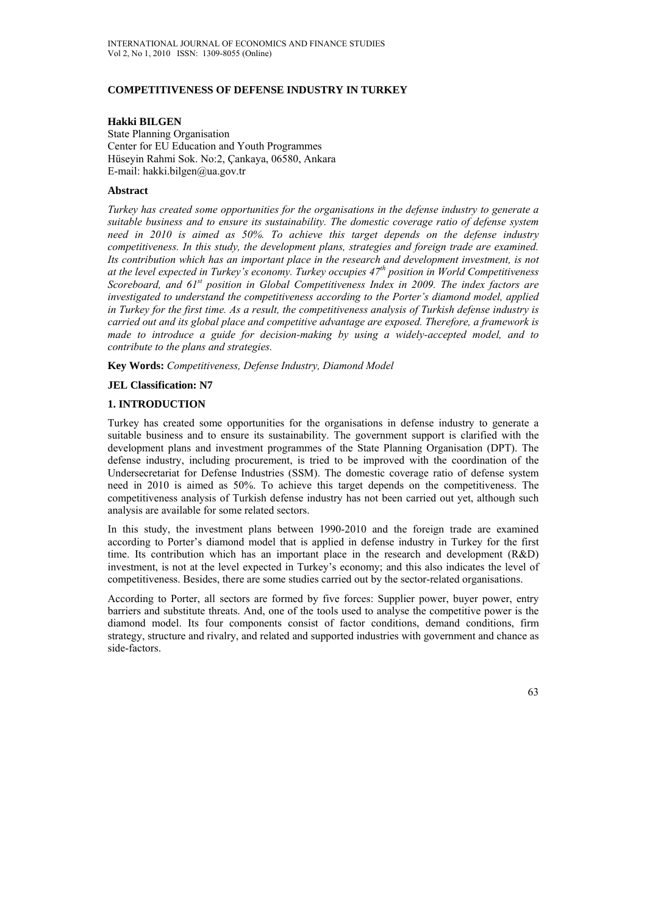# **COMPETITIVENESS OF DEFENSE INDUSTRY IN TURKEY**

# **Hakki BILGEN**

State Planning Organisation Center for EU Education and Youth Programmes Hüseyin Rahmi Sok. No:2, Çankaya, 06580, Ankara E-mail: hakki.bilgen@ua.gov.tr

# **Abstract**

*Turkey has created some opportunities for the organisations in the defense industry to generate a suitable business and to ensure its sustainability. The domestic coverage ratio of defense system need in 2010 is aimed as 50%. To achieve this target depends on the defense industry competitiveness. In this study, the development plans, strategies and foreign trade are examined. Its contribution which has an important place in the research and development investment, is not at the level expected in Turkey's economy. Turkey occupies 47th position in World Competitiveness Scoreboard, and 61st position in Global Competitiveness Index in 2009. The index factors are investigated to understand the competitiveness according to the Porter's diamond model, applied in Turkey for the first time. As a result, the competitiveness analysis of Turkish defense industry is carried out and its global place and competitive advantage are exposed. Therefore, a framework is made to introduce a guide for decision-making by using a widely-accepted model, and to contribute to the plans and strategies.* 

**Key Words:** *Competitiveness, Defense Industry, Diamond Model*

# **JEL Classification: N7**

# **1. INTRODUCTION**

Turkey has created some opportunities for the organisations in defense industry to generate a suitable business and to ensure its sustainability. The government support is clarified with the development plans and investment programmes of the State Planning Organisation (DPT). The defense industry, including procurement, is tried to be improved with the coordination of the Undersecretariat for Defense Industries (SSM). The domestic coverage ratio of defense system need in 2010 is aimed as 50%. To achieve this target depends on the competitiveness. The competitiveness analysis of Turkish defense industry has not been carried out yet, although such analysis are available for some related sectors.

In this study, the investment plans between 1990-2010 and the foreign trade are examined according to Porter's diamond model that is applied in defense industry in Turkey for the first time. Its contribution which has an important place in the research and development (R&D) investment, is not at the level expected in Turkey's economy; and this also indicates the level of competitiveness. Besides, there are some studies carried out by the sector-related organisations.

According to Porter, all sectors are formed by five forces: Supplier power, buyer power, entry barriers and substitute threats. And, one of the tools used to analyse the competitive power is the diamond model. Its four components consist of factor conditions, demand conditions, firm strategy, structure and rivalry, and related and supported industries with government and chance as side-factors.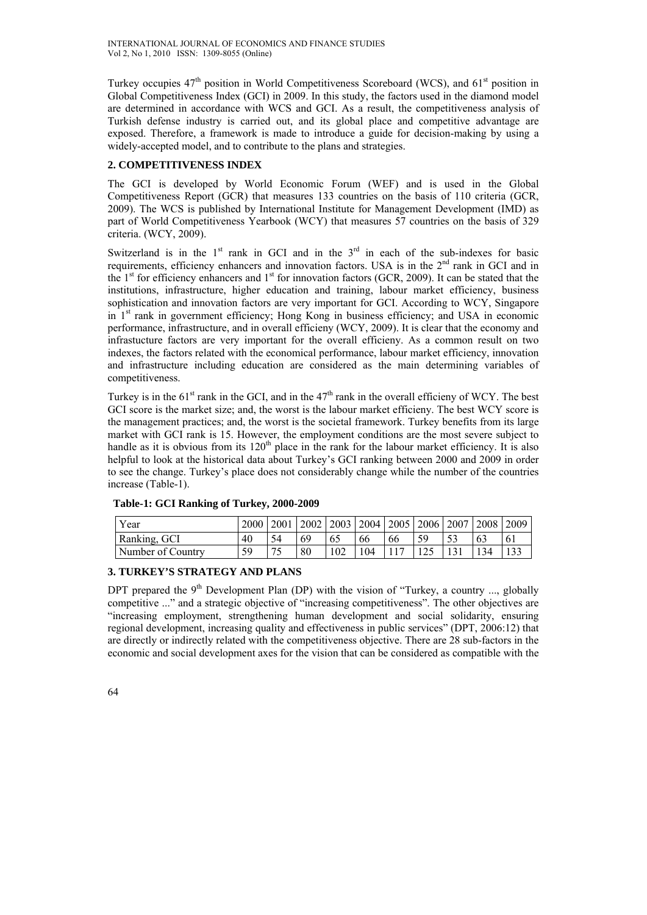Turkey occupies  $47<sup>th</sup>$  position in World Competitiveness Scoreboard (WCS), and  $61<sup>st</sup>$  position in Global Competitiveness Index (GCI) in 2009. In this study, the factors used in the diamond model are determined in accordance with WCS and GCI. As a result, the competitiveness analysis of Turkish defense industry is carried out, and its global place and competitive advantage are exposed. Therefore, a framework is made to introduce a guide for decision-making by using a widely-accepted model, and to contribute to the plans and strategies.

# **2. COMPETITIVENESS INDEX**

The GCI is developed by World Economic Forum (WEF) and is used in the Global Competitiveness Report (GCR) that measures 133 countries on the basis of 110 criteria (GCR, 2009). The WCS is published by International Institute for Management Development (IMD) as part of World Competitiveness Yearbook (WCY) that measures 57 countries on the basis of 329 criteria. (WCY, 2009).

Switzerland is in the  $1<sup>st</sup>$  rank in GCI and in the  $3<sup>rd</sup>$  in each of the sub-indexes for basic requirements, efficiency enhancers and innovation factors. USA is in the 2<sup>nd</sup> rank in GCI and in the 1<sup>st</sup> for efficiency enhancers and 1<sup>st</sup> for innovation factors (GCR, 2009). It can be stated that the institutions, infrastructure, higher education and training, labour market efficiency, business sophistication and innovation factors are very important for GCI. According to WCY, Singapore in 1<sup>st</sup> rank in government efficiency; Hong Kong in business efficiency; and USA in economic performance, infrastructure, and in overall efficieny (WCY, 2009). It is clear that the economy and infrastucture factors are very important for the overall efficieny. As a common result on two indexes, the factors related with the economical performance, labour market efficiency, innovation and infrastructure including education are considered as the main determining variables of competitiveness.

Turkey is in the  $61<sup>st</sup>$  rank in the GCI, and in the  $47<sup>th</sup>$  rank in the overall efficieny of WCY. The best GCI score is the market size; and, the worst is the labour market efficieny. The best WCY score is the management practices; and, the worst is the societal framework. Turkey benefits from its large market with GCI rank is 15. However, the employment conditions are the most severe subject to handle as it is obvious from its 120<sup>th</sup> place in the rank for the labour market efficiency. It is also helpful to look at the historical data about Turkey's GCI ranking between 2000 and 2009 in order to see the change. Turkey's place does not considerably change while the number of the countries increase (Table-1).

| Year              | 2000   2001 |                          |    |     |     |    | $\vert$ 2002 $\vert$ 2003 $\vert$ 2004 $\vert$ 2005 $\vert$ 2006 $\vert$ 2007 $\vert$ 2008 $\vert$ |  | 2009           |
|-------------------|-------------|--------------------------|----|-----|-----|----|----------------------------------------------------------------------------------------------------|--|----------------|
| Ranking, GCI      | 40          |                          | 69 | 62  | 66  | 66 |                                                                                                    |  | 6 <sub>1</sub> |
| Number of Country | 59          | $\overline{\phantom{a}}$ | 80 | 102 | 104 |    |                                                                                                    |  |                |

## **Table-1: GCI Ranking of Turkey, 2000-2009**

# **3. TURKEY'S STRATEGY AND PLANS**

DPT prepared the  $9<sup>th</sup>$  Development Plan (DP) with the vision of "Turkey, a country ..., globally competitive ..." and a strategic objective of "increasing competitiveness". The other objectives are "increasing employment, strengthening human development and social solidarity, ensuring regional development, increasing quality and effectiveness in public services" (DPT, 2006:12) that are directly or indirectly related with the competitiveness objective. There are 28 sub-factors in the economic and social development axes for the vision that can be considered as compatible with the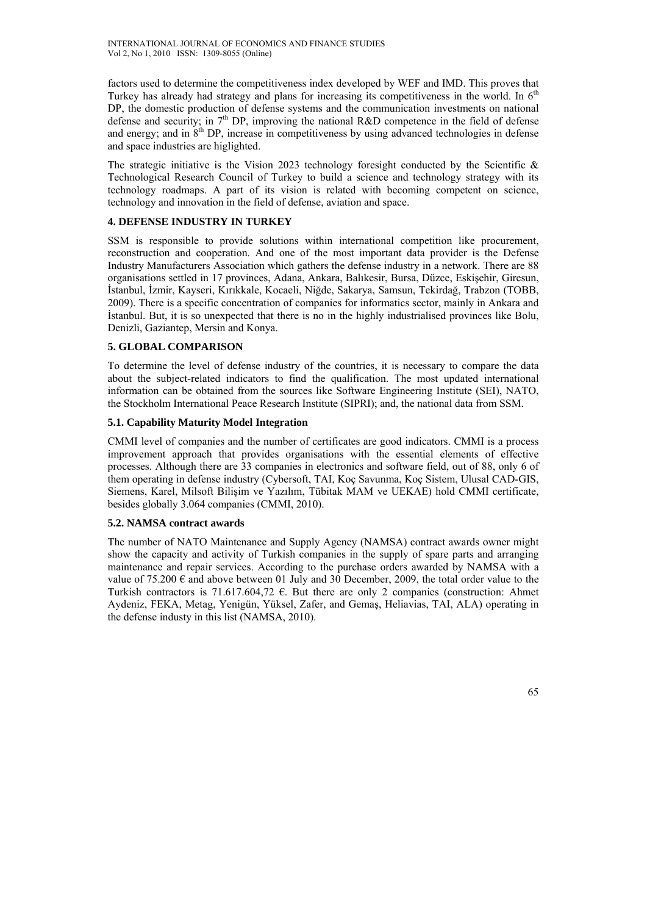factors used to determine the competitiveness index developed by WEF and IMD. This proves that Turkey has already had strategy and plans for increasing its competitiveness in the world. In 6<sup>th</sup> DP, the domestic production of defense systems and the communication investments on national defense and security; in  $7<sup>th</sup>$  DP, improving the national R&D competence in the field of defense and energy; and in  $8<sup>th</sup>$  DP, increase in competitiveness by using advanced technologies in defense and space industries are higlighted.

The strategic initiative is the Vision 2023 technology foresight conducted by the Scientific  $\&$ Technological Research Council of Turkey to build a science and technology strategy with its technology roadmaps. A part of its vision is related with becoming competent on science, technology and innovation in the field of defense, aviation and space.

# **4. DEFENSE INDUSTRY IN TURKEY**

SSM is responsible to provide solutions within international competition like procurement, reconstruction and cooperation. And one of the most important data provider is the Defense Industry Manufacturers Association which gathers the defense industry in a network. There are 88 organisations settled in 17 provinces, Adana, Ankara, Balıkesir, Bursa, Düzce, Eskişehir, Giresun, İstanbul, İzmir, Kayseri, Kırıkkale, Kocaeli, Niğde, Sakarya, Samsun, Tekirdağ, Trabzon (TOBB, 2009). There is a specific concentration of companies for informatics sector, mainly in Ankara and İstanbul. But, it is so unexpected that there is no in the highly industrialised provinces like Bolu, Denizli, Gaziantep, Mersin and Konya.

# **5. GLOBAL COMPARISON**

To determine the level of defense industry of the countries, it is necessary to compare the data about the subject-related indicators to find the qualification. The most updated international information can be obtained from the sources like Software Engineering Institute (SEI), NATO, the Stockholm International Peace Research Institute (SIPRI); and, the national data from SSM.

# **5.1. Capability Maturity Model Integration**

CMMI level of companies and the number of certificates are good indicators. CMMI is a process improvement approach that provides organisations with the essential elements of effective processes. Although there are 33 companies in electronics and software field, out of 88, only 6 of them operating in defense industry (Cybersoft, TAI, Koç Savunma, Koç Sistem, Ulusal CAD-GIS, Siemens, Karel, Milsoft Bilişim ve Yazılım, Tübitak MAM ve UEKAE) hold CMMI certificate, besides globally 3.064 companies (CMMI, 2010).

## **5.2. NAMSA contract awards**

The number of NATO Maintenance and Supply Agency (NAMSA) contract awards owner might show the capacity and activity of Turkish companies in the supply of spare parts and arranging maintenance and repair services. According to the purchase orders awarded by NAMSA with a value of 75.200  $\epsilon$  and above between 01 July and 30 December, 2009, the total order value to the Turkish contractors is 71.617.604.72  $\epsilon$ . But there are only 2 companies (construction: Ahmet Aydeniz, FEKA, Metag, Yenigün, Yüksel, Zafer, and Gemaş, Heliavias, TAI, ALA) operating in the defense industy in this list (NAMSA, 2010).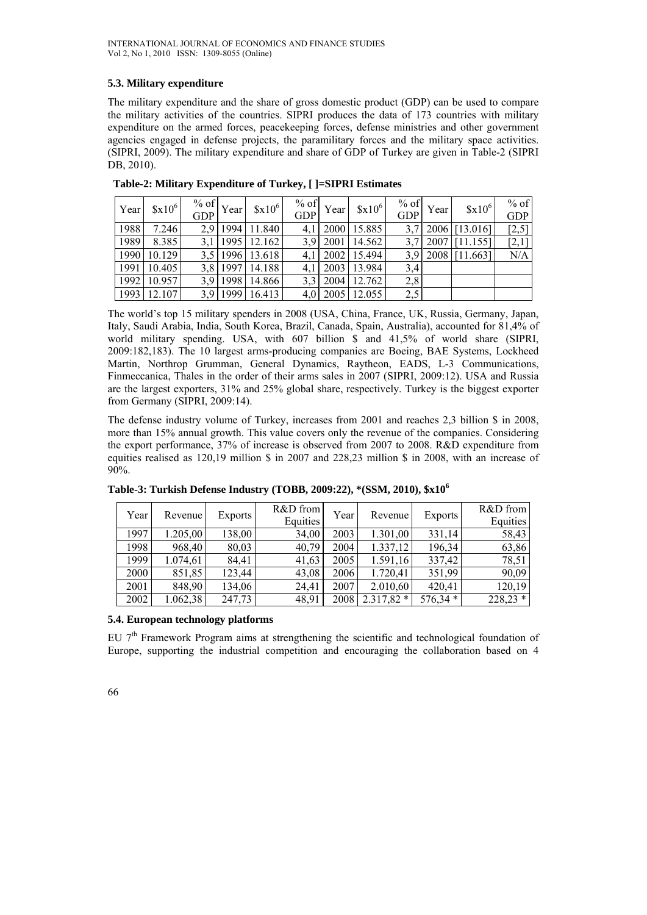# **5.3. Military expenditure**

The military expenditure and the share of gross domestic product (GDP) can be used to compare the military activities of the countries. SIPRI produces the data of 173 countries with military expenditure on the armed forces, peacekeeping forces, defense ministries and other government agencies engaged in defense projects, the paramilitary forces and the military space activities. (SIPRI, 2009). The military expenditure and share of GDP of Turkey are given in Table-2 (SIPRI DB, 2010).

| Year | $$x10^6$ | $\sqrt[9]{\text{ of }}$ Year<br><b>GDP</b> | $$x10^6$        | $%$ of<br><b>GDP</b> | Year         | $$x10^6$              | % of $\vert$ ,<br>GDP | Year | $$x10^6$                | $%$ of<br><b>GDP</b> |
|------|----------|--------------------------------------------|-----------------|----------------------|--------------|-----------------------|-----------------------|------|-------------------------|----------------------|
| 1988 | 7.246    |                                            | 2.9 1994 11.840 |                      |              | 4,1 2000 15.885       |                       |      | $3,7$   2006   [13.016] | [2,5]                |
| 1989 | 8.385    |                                            | 3,1 1995 12.162 |                      |              | 3,9 2001 14.562       |                       |      | $3,7$   2007   [11.155] | $[2,1]$              |
| 1990 | 10.129   |                                            | 3,5 1996 13.618 |                      |              | 4,1   2002   15.494   |                       |      | $3.9$   2008   [11.663] | N/A                  |
| 1991 | 10.405   |                                            | 3,8 1997 14.188 |                      |              | 4,1 2003 13.984       | 3,4                   |      |                         |                      |
| 1992 | 10.957   |                                            | 3,9 1998 14.866 |                      | $3,3$   2004 | 12.762                | 2,8                   |      |                         |                      |
| 1993 | 12.107   |                                            | 3,9 1999 16.413 |                      |              | $4.0$   2005   12.055 | 2,5                   |      |                         |                      |

 **Table-2: Military Expenditure of Turkey, [ ]=SIPRI Estimates** 

The world's top 15 military spenders in 2008 (USA, China, France, UK, Russia, Germany, Japan, Italy, Saudi Arabia, India, South Korea, Brazil, Canada, Spain, Australia), accounted for 81,4% of world military spending. USA, with 607 billion \$ and 41,5% of world share (SIPRI, 2009:182,183). The 10 largest arms-producing companies are Boeing, BAE Systems, Lockheed Martin, Northrop Grumman, General Dynamics, Raytheon, EADS, L-3 Communications, Finmeccanica, Thales in the order of their arms sales in 2007 (SIPRI, 2009:12). USA and Russia are the largest exporters, 31% and 25% global share, respectively. Turkey is the biggest exporter from Germany (SIPRI, 2009:14).

The defense industry volume of Turkey, increases from 2001 and reaches 2,3 billion \$ in 2008, more than 15% annual growth. This value covers only the revenue of the companies. Considering the export performance, 37% of increase is observed from 2007 to 2008. R&D expenditure from equities realised as 120,19 million \$ in 2007 and 228,23 million \$ in 2008, with an increase of 90%.

| Year | Revenue  | Exports | R&D from<br>Equities | Year | Revenue     | <b>Exports</b> | R&D from<br>Equities |
|------|----------|---------|----------------------|------|-------------|----------------|----------------------|
| 1997 | 1.205,00 | 138,00  | 34.00                | 2003 | 1.301,00    | 331,14         | 58,43                |
| 1998 | 968,40   | 80,03   | 40,79                | 2004 | 1.337,12    | 196,34         | 63,86                |
| 1999 | 1.074,61 | 84,41   | 41,63                | 2005 | 1.591,16    | 337,42         | 78,51                |
| 2000 | 851,85   | 123,44  | 43,08                | 2006 | 1.720,41    | 351,99         | 90,09                |
| 2001 | 848,90   | 134,06  | 24,41                | 2007 | 2.010,60    | 420,41         | 120,19               |
| 2002 | 1.062,38 | 247,73  | 48,91                | 2008 | $2.317,82*$ | $576,34*$      | $228,23*$            |

**Table-3: Turkish Defense Industry (TOBB, 2009:22), \*(SSM, 2010), \$x10<sup>6</sup>**

#### **5.4. European technology platforms**

EU  $7<sup>th</sup>$  Framework Program aims at strengthening the scientific and technological foundation of Europe, supporting the industrial competition and encouraging the collaboration based on 4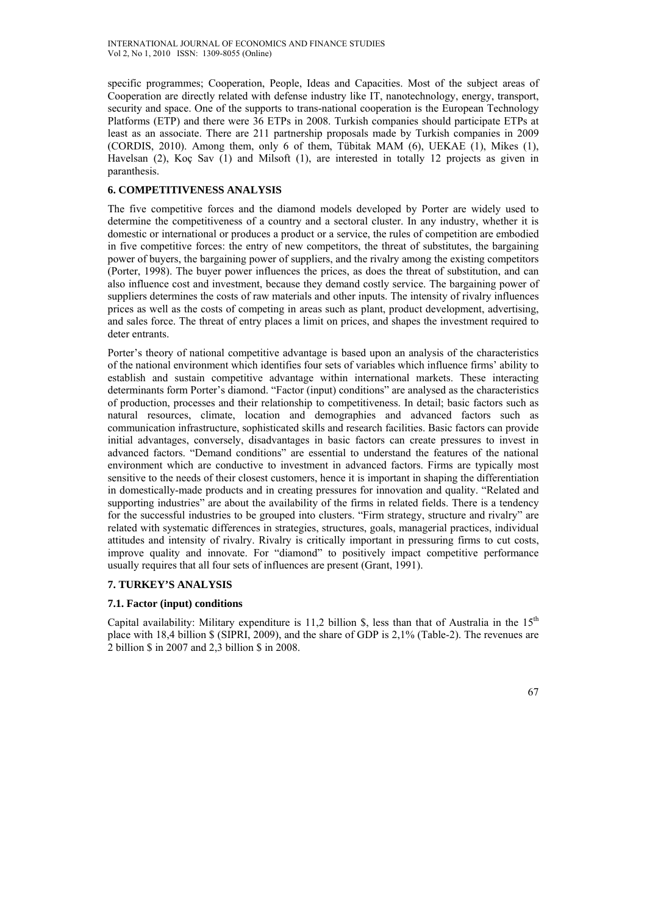specific programmes; Cooperation, People, Ideas and Capacities. Most of the subject areas of Cooperation are directly related with defense industry like IT, nanotechnology, energy, transport, security and space. One of the supports to trans-national cooperation is the European Technology Platforms (ETP) and there were 36 ETPs in 2008. Turkish companies should participate ETPs at least as an associate. There are 211 partnership proposals made by Turkish companies in 2009 (CORDIS, 2010). Among them, only 6 of them, Tübitak MAM (6), UEKAE (1), Mikes (1), Havelsan (2), Koç Sav (1) and Milsoft (1), are interested in totally 12 projects as given in paranthesis.

# **6. COMPETITIVENESS ANALYSIS**

The five competitive forces and the diamond models developed by Porter are widely used to determine the competitiveness of a country and a sectoral cluster. In any industry, whether it is domestic or international or produces a product or a service, the rules of competition are embodied in five competitive forces: the entry of new competitors, the threat of substitutes, the bargaining power of buyers, the bargaining power of suppliers, and the rivalry among the existing competitors (Porter, 1998). The buyer power influences the prices, as does the threat of substitution, and can also influence cost and investment, because they demand costly service. The bargaining power of suppliers determines the costs of raw materials and other inputs. The intensity of rivalry influences prices as well as the costs of competing in areas such as plant, product development, advertising, and sales force. The threat of entry places a limit on prices, and shapes the investment required to deter entrants.

Porter's theory of national competitive advantage is based upon an analysis of the characteristics of the national environment which identifies four sets of variables which influence firms' ability to establish and sustain competitive advantage within international markets. These interacting determinants form Porter's diamond. "Factor (input) conditions" are analysed as the characteristics of production, processes and their relationship to competitiveness. In detail; basic factors such as natural resources, climate, location and demographies and advanced factors such as communication infrastructure, sophisticated skills and research facilities. Basic factors can provide initial advantages, conversely, disadvantages in basic factors can create pressures to invest in advanced factors. "Demand conditions" are essential to understand the features of the national environment which are conductive to investment in advanced factors. Firms are typically most sensitive to the needs of their closest customers, hence it is important in shaping the differentiation in domestically-made products and in creating pressures for innovation and quality. "Related and supporting industries" are about the availability of the firms in related fields. There is a tendency for the successful industries to be grouped into clusters. "Firm strategy, structure and rivalry" are related with systematic differences in strategies, structures, goals, managerial practices, individual attitudes and intensity of rivalry. Rivalry is critically important in pressuring firms to cut costs, improve quality and innovate. For "diamond" to positively impact competitive performance usually requires that all four sets of influences are present (Grant, 1991).

## **7. TURKEY'S ANALYSIS**

## **7.1. Factor (input) conditions**

Capital availability: Military expenditure is 11,2 billion \$, less than that of Australia in the  $15<sup>th</sup>$ place with 18,4 billion \$ (SIPRI, 2009), and the share of GDP is 2,1% (Table-2). The revenues are 2 billion \$ in 2007 and 2,3 billion \$ in 2008.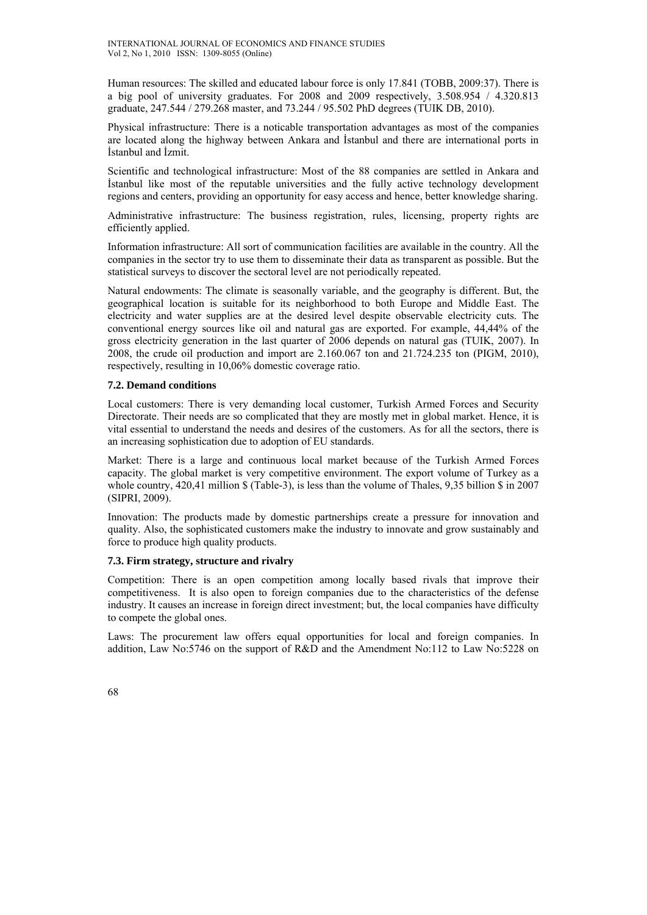Human resources: The skilled and educated labour force is only 17.841 (TOBB, 2009:37). There is a big pool of university graduates. For 2008 and 2009 respectively, 3.508.954 / 4.320.813 graduate, 247.544 / 279.268 master, and 73.244 / 95.502 PhD degrees (TUIK DB, 2010).

Physical infrastructure: There is a noticable transportation advantages as most of the companies are located along the highway between Ankara and İstanbul and there are international ports in İstanbul and İzmit.

Scientific and technological infrastructure: Most of the 88 companies are settled in Ankara and İstanbul like most of the reputable universities and the fully active technology development regions and centers, providing an opportunity for easy access and hence, better knowledge sharing.

Administrative infrastructure: The business registration, rules, licensing, property rights are efficiently applied.

Information infrastructure: All sort of communication facilities are available in the country. All the companies in the sector try to use them to disseminate their data as transparent as possible. But the statistical surveys to discover the sectoral level are not periodically repeated.

Natural endowments: The climate is seasonally variable, and the geography is different. But, the geographical location is suitable for its neighborhood to both Europe and Middle East. The electricity and water supplies are at the desired level despite observable electricity cuts. The conventional energy sources like oil and natural gas are exported. For example, 44,44% of the gross electricity generation in the last quarter of 2006 depends on natural gas (TUIK, 2007). In 2008, the crude oil production and import are 2.160.067 ton and 21.724.235 ton (PIGM, 2010), respectively, resulting in 10,06% domestic coverage ratio.

## **7.2. Demand conditions**

Local customers: There is very demanding local customer, Turkish Armed Forces and Security Directorate. Their needs are so complicated that they are mostly met in global market. Hence, it is vital essential to understand the needs and desires of the customers. As for all the sectors, there is an increasing sophistication due to adoption of EU standards.

Market: There is a large and continuous local market because of the Turkish Armed Forces capacity. The global market is very competitive environment. The export volume of Turkey as a whole country, 420,41 million \$ (Table-3), is less than the volume of Thales, 9,35 billion \$ in 2007 (SIPRI, 2009).

Innovation: The products made by domestic partnerships create a pressure for innovation and quality. Also, the sophisticated customers make the industry to innovate and grow sustainably and force to produce high quality products.

## **7.3. Firm strategy, structure and rivalry**

Competition: There is an open competition among locally based rivals that improve their competitiveness. It is also open to foreign companies due to the characteristics of the defense industry. It causes an increase in foreign direct investment; but, the local companies have difficulty to compete the global ones.

Laws: The procurement law offers equal opportunities for local and foreign companies. In addition, Law No:5746 on the support of R&D and the Amendment No:112 to Law No:5228 on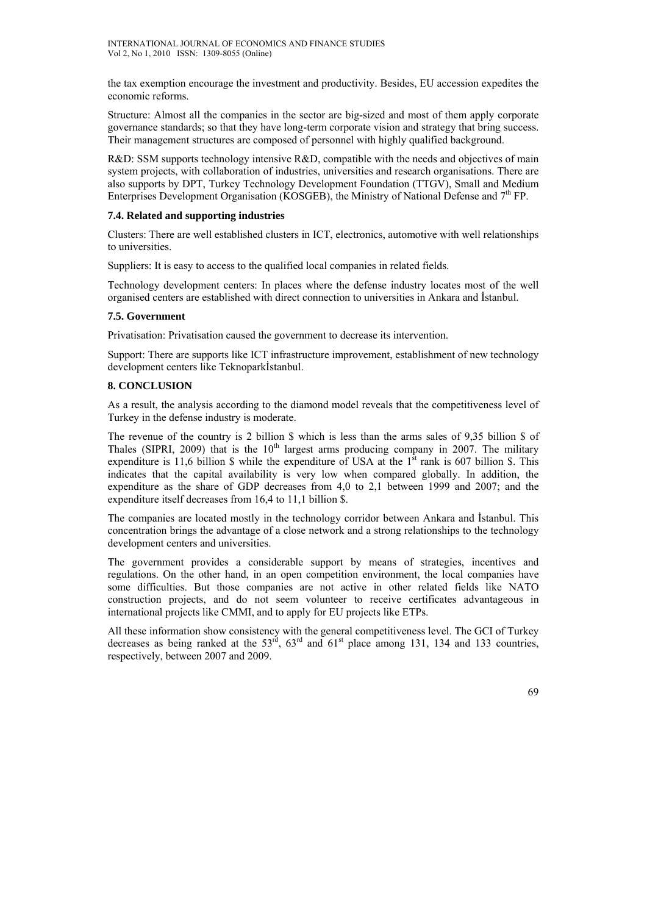the tax exemption encourage the investment and productivity. Besides, EU accession expedites the economic reforms.

Structure: Almost all the companies in the sector are big-sized and most of them apply corporate governance standards; so that they have long-term corporate vision and strategy that bring success. Their management structures are composed of personnel with highly qualified background.

R&D: SSM supports technology intensive R&D, compatible with the needs and objectives of main system projects, with collaboration of industries, universities and research organisations. There are also supports by DPT, Turkey Technology Development Foundation (TTGV), Small and Medium Enterprises Development Organisation (KOSGEB), the Ministry of National Defense and  $7<sup>th</sup>$  FP.

#### **7.4. Related and supporting industries**

Clusters: There are well established clusters in ICT, electronics, automotive with well relationships to universities.

Suppliers: It is easy to access to the qualified local companies in related fields.

Technology development centers: In places where the defense industry locates most of the well organised centers are established with direct connection to universities in Ankara and İstanbul.

#### **7.5. Government**

Privatisation: Privatisation caused the government to decrease its intervention.

Support: There are supports like ICT infrastructure improvement, establishment of new technology development centers like Teknoparkİstanbul.

## **8. CONCLUSION**

As a result, the analysis according to the diamond model reveals that the competitiveness level of Turkey in the defense industry is moderate.

The revenue of the country is 2 billion \$ which is less than the arms sales of 9,35 billion \$ of Thales (SIPRI, 2009) that is the  $10<sup>th</sup>$  largest arms producing company in 2007. The military expenditure is 11,6 billion  $\frac{1}{2}$  while the expenditure of USA at the 1<sup>st</sup> rank is 607 billion  $\frac{1}{2}$ . This indicates that the capital availability is very low when compared globally. In addition, the expenditure as the share of GDP decreases from 4,0 to 2,1 between 1999 and 2007; and the expenditure itself decreases from 16,4 to 11,1 billion \$.

The companies are located mostly in the technology corridor between Ankara and İstanbul. This concentration brings the advantage of a close network and a strong relationships to the technology development centers and universities.

The government provides a considerable support by means of strategies, incentives and regulations. On the other hand, in an open competition environment, the local companies have some difficulties. But those companies are not active in other related fields like NATO construction projects, and do not seem volunteer to receive certificates advantageous in international projects like CMMI, and to apply for EU projects like ETPs.

All these information show consistency with the general competitiveness level. The GCI of Turkey decreases as being ranked at the  $53<sup>rd</sup>$ ,  $63<sup>rd</sup>$  and  $61<sup>st</sup>$  place among 131, 134 and 133 countries, respectively, between 2007 and 2009.